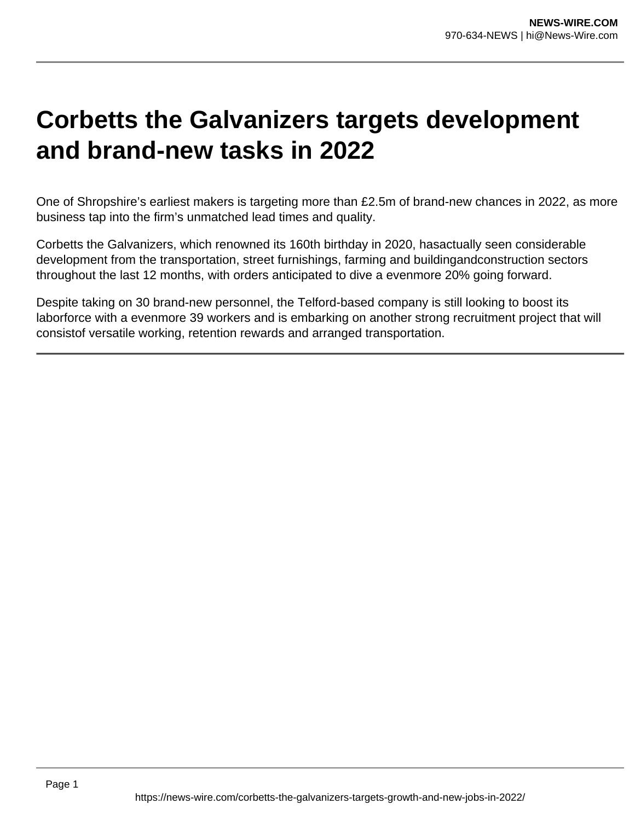## **Corbetts the Galvanizers targets development and brand-new tasks in 2022**

One of Shropshire's earliest makers is targeting more than £2.5m of brand-new chances in 2022, as more business tap into the firm's unmatched lead times and quality.

Corbetts the Galvanizers, which renowned its 160th birthday in 2020, hasactually seen considerable development from the transportation, street furnishings, farming and buildingandconstruction sectors throughout the last 12 months, with orders anticipated to dive a evenmore 20% going forward.

Despite taking on 30 brand-new personnel, the Telford-based company is still looking to boost its laborforce with a evenmore 39 workers and is embarking on another strong recruitment project that will consistof versatile working, retention rewards and arranged transportation.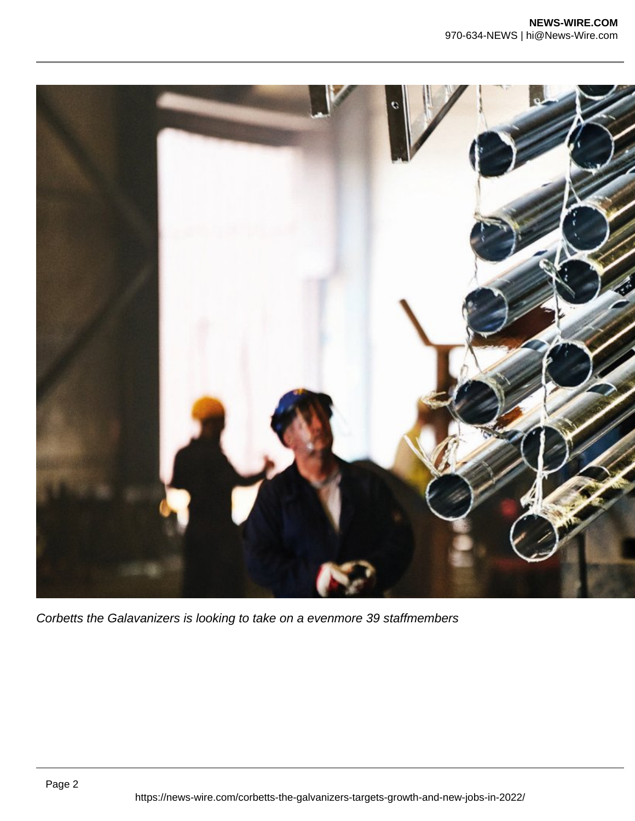

Corbetts the Galavanizers is looking to take on a evenmore 39 staffmembers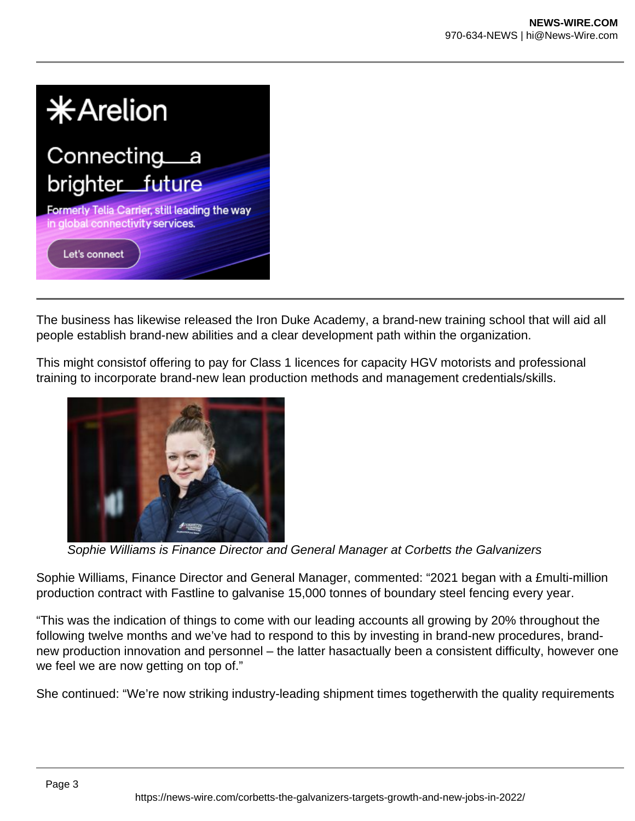

The business has likewise released the Iron Duke Academy, a brand-new training school that will aid all people establish brand-new abilities and a clear development path within the organization.

This might consistof offering to pay for Class 1 licences for capacity HGV motorists and professional training to incorporate brand-new lean production methods and management credentials/skills.



Sophie Williams is Finance Director and General Manager at Corbetts the Galvanizers

Sophie Williams, Finance Director and General Manager, commented: "2021 began with a £multi-million production contract with Fastline to galvanise 15,000 tonnes of boundary steel fencing every year.

"This was the indication of things to come with our leading accounts all growing by 20% throughout the following twelve months and we've had to respond to this by investing in brand-new procedures, brandnew production innovation and personnel – the latter hasactually been a consistent difficulty, however one we feel we are now getting on top of."

She continued: "We're now striking industry-leading shipment times togetherwith the quality requirements